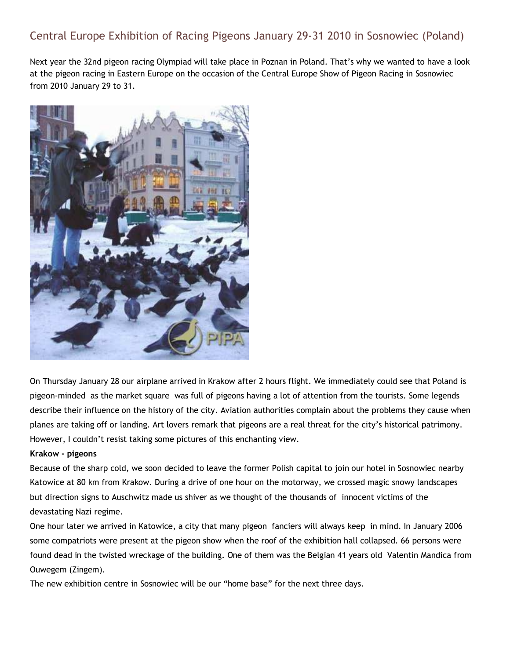# Central Europe Exhibition of Racing Pigeons January 29-31 2010 in Sosnowiec (Poland)

Next year the 32nd pigeon racing Olympiad will take place in Poznan in Poland. That's why we wanted to have a look at the pigeon racing in Eastern Europe on the occasion of the Central Europe Show of Pigeon Racing in Sosnowiec from 2010 January 29 to 31.



On Thursday January 28 our airplane arrived in Krakow after 2 hours flight. We immediately could see that Poland is pigeon-minded as the market square was full of pigeons having a lot of attention from the tourists. Some legends describe their influence on the history of the city. Aviation authorities complain about the problems they cause when planes are taking off or landing. Art lovers remark that pigeons are a real threat for the city's historical patrimony. However, I couldn't resist taking some pictures of this enchanting view.

#### **Krakow - pigeons**

Because of the sharp cold, we soon decided to leave the former Polish capital to join our hotel in Sosnowiec nearby Katowice at 80 km from Krakow. During a drive of one hour on the motorway, we crossed magic snowy landscapes but direction signs to Auschwitz made us shiver as we thought of the thousands of innocent victims of the devastating Nazi regime.

One hour later we arrived in Katowice, a city that many pigeon fanciers will always keep in mind. In January 2006 some compatriots were present at the pigeon show when the roof of the exhibition hall collapsed. 66 persons were found dead in the twisted wreckage of the building. One of them was the Belgian 41 years old Valentin Mandica from Ouwegem (Zingem).

The new exhibition centre in Sosnowiec will be our "home base" for the next three days.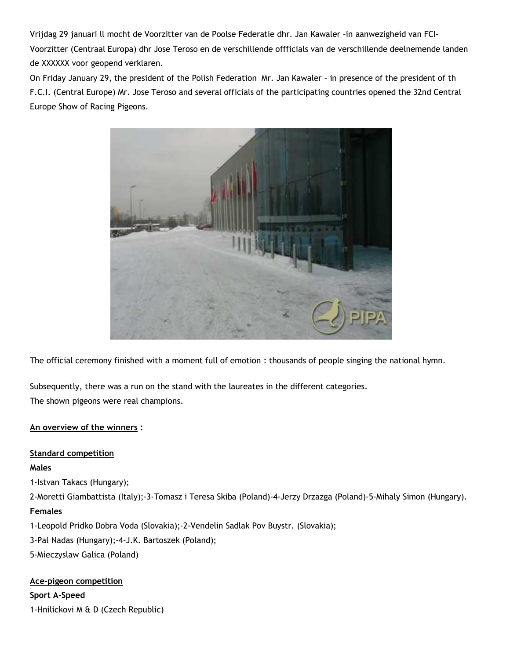Vrijdag 29 januari ll mocht de Voorzitter van de Poolse Federatie dhr. Jan Kawaler –in aanwezigheid van FCI-Voorzitter (Centraal Europa) dhr Jose Teroso en de verschillende offficials van de verschillende deelnemende landen de XXXXXX voor geopend verklaren.

On Friday January 29, the president of the Polish Federation Mr. Jan Kawaler – in presence of the president of th F.C.I. (Central Europe) Mr. Jose Teroso and several officials of the participating countries opened the 32nd Central Europe Show of Racing Pigeons.



The official ceremony finished with a moment full of emotion : thousands of people singing the national hymn.

Subsequently, there was a run on the stand with the laureates in the different categories. The shown pigeons were real champions.

### **An overview of the winners :**

### **Standard competition**

#### **Males**

1-Istvan Takacs (Hungary);

2-Moretti Giambattista (Italy);-3-Tomasz i Teresa Skiba (Poland)-4-Jerzy Drzazga (Poland)-5-Mihaly Simon (Hungary). **Females**

1-Leopold Pridko Dobra Voda (Slovakia);-2-Vendelin Sadlak Pov Buystr. (Slovakia);

3-Pal Nadas (Hungary);-4-J.K. Bartoszek (Poland);

5-Mieczyslaw Galica (Poland)

### **Ace-pigeon competition**

**Sport A-Speed** 1-Hnilickovi M & D (Czech Republic)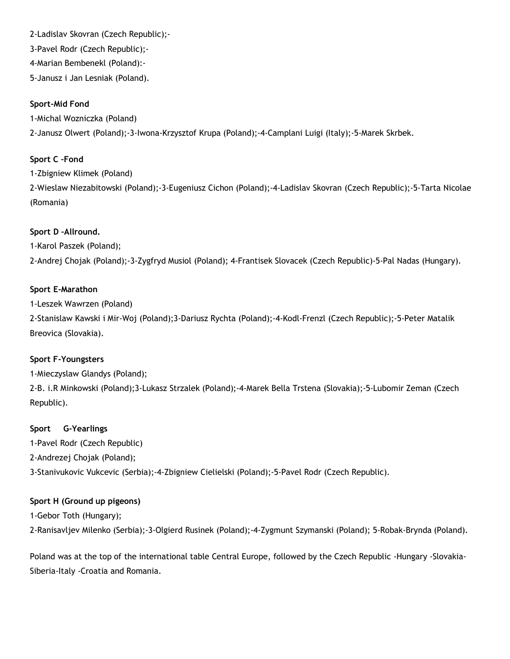### 2-Ladislav Skovran (Czech Republic);-

3-Pavel Rodr (Czech Republic);-

4-Marian Bembenekl (Poland):-

5-Janusz i Jan Lesniak (Poland).

## **Sport-Mid Fond**

1-Michal Wozniczka (Poland) 2-Janusz Olwert (Poland);-3-Iwona-Krzysztof Krupa (Poland);-4-Camplani Luigi (Italy);-5-Marek Skrbek.

# **Sport C –Fond**

1-Zbigniew Klimek (Poland)

2-Wieslaw Niezabitowski (Poland);-3-Eugeniusz Cichon (Poland);-4-Ladislav Skovran (Czech Republic);-5-Tarta Nicolae (Romania)

# **Sport D –Allround.**

1-Karol Paszek (Poland);

2-Andrej Chojak (Poland);-3-Zygfryd Musiol (Poland); 4-Frantisek Slovacek (Czech Republic)-5-Pal Nadas (Hungary).

### **Sport E-Marathon**

1-Leszek Wawrzen (Poland)

2-Stanislaw Kawski i Mir-Woj (Poland);3-Dariusz Rychta (Poland);-4-Kodl-Frenzl (Czech Republic);-5-Peter Matalik Breovica (Slovakia).

### **Sport F-Youngsters**

1-Mieczyslaw Glandys (Poland);

2-B. i.R Minkowski (Poland);3-Lukasz Strzalek (Poland);-4-Marek Bella Trstena (Slovakia);-5-Lubomir Zeman (Czech Republic).

### **Sport G-Yearlings**

1-Pavel Rodr (Czech Republic)

2-Andrezej Chojak (Poland);

3-Stanivukovic Vukcevic (Serbia);-4-Zbigniew Cielielski (Poland);-5-Pavel Rodr (Czech Republic).

## **Sport H (Ground up pigeons)**

1-Gebor Toth (Hungary);

2-Ranisavljev Milenko (Serbia);-3-Olgierd Rusinek (Poland);-4-Zygmunt Szymanski (Poland); 5-Robak-Brynda (Poland).

Poland was at the top of the international table Central Europe, followed by the Czech Republic -Hungary -Slovakia-Siberia-Italy -Croatia and Romania.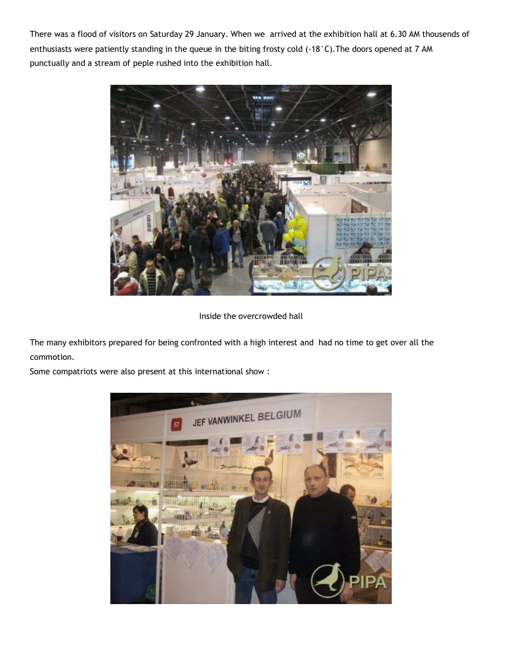There was a flood of visitors on Saturday 29 January. When we arrived at the exhibition hall at 6.30 AM thousends of enthusiasts were patiently standing in the queue in the biting frosty cold (-18°C). The doors opened at 7 AM punctually and a stream of peple rushed into the exhibition hall.



Inside the overcrowded hall

The many exhibitors prepared for being confronted with a high interest and had no time to get over all the commotion.

Some compatriots were also present at this international show :

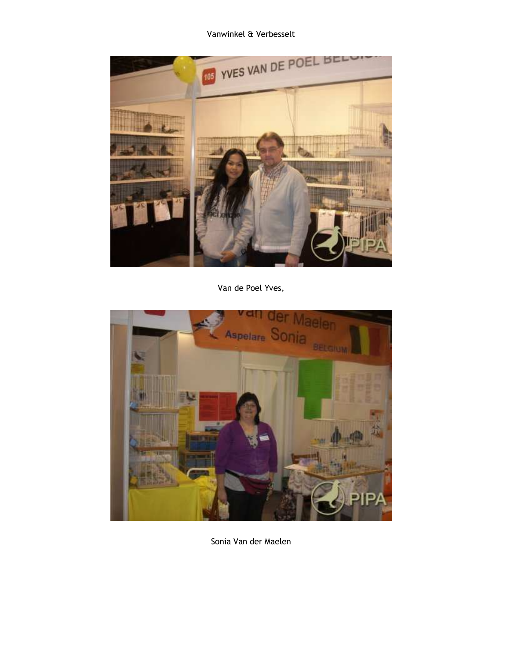Vanwinkel & Verbesselt



Van de Poel Yves,



Sonia Van der Maelen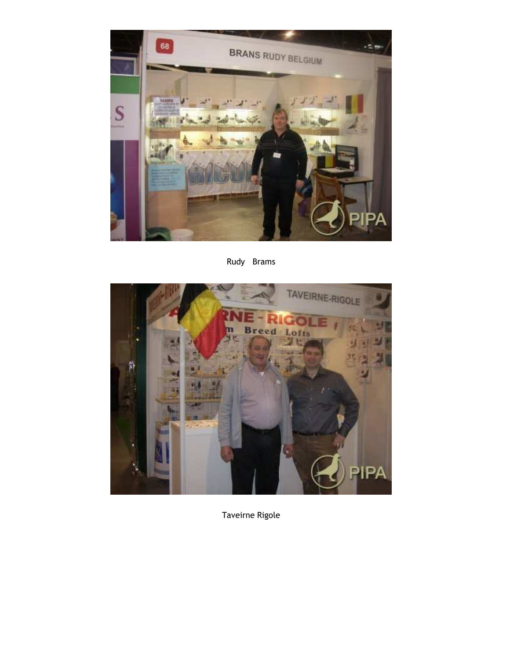

Rudy Brams



Taveirne Rigole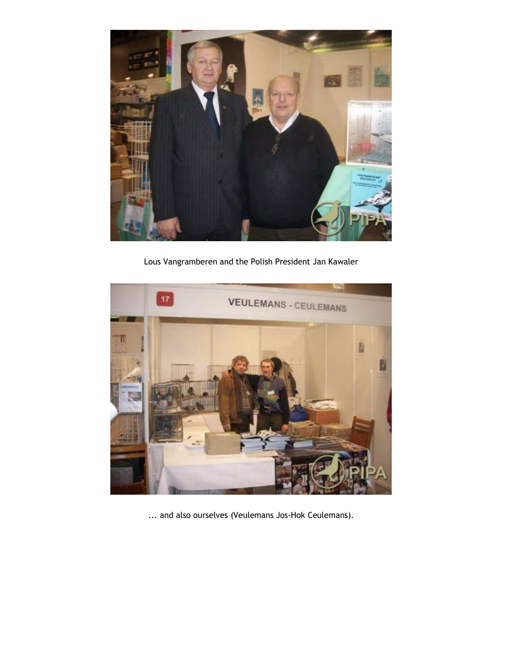

Lous Vangramberen and the Polish President Jan Kawaler



... and also ourselves (Veulemans Jos-Hok Ceulemans).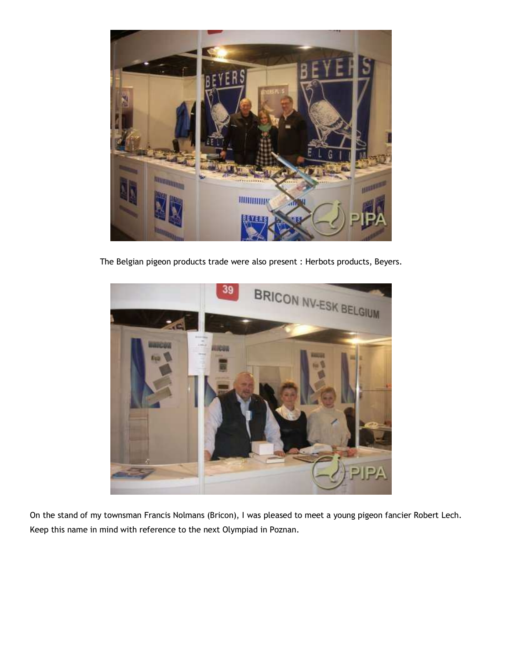

The Belgian pigeon products trade were also present : Herbots products, Beyers.



On the stand of my townsman Francis Nolmans (Bricon), I was pleased to meet a young pigeon fancier Robert Lech. Keep this name in mind with reference to the next Olympiad in Poznan.